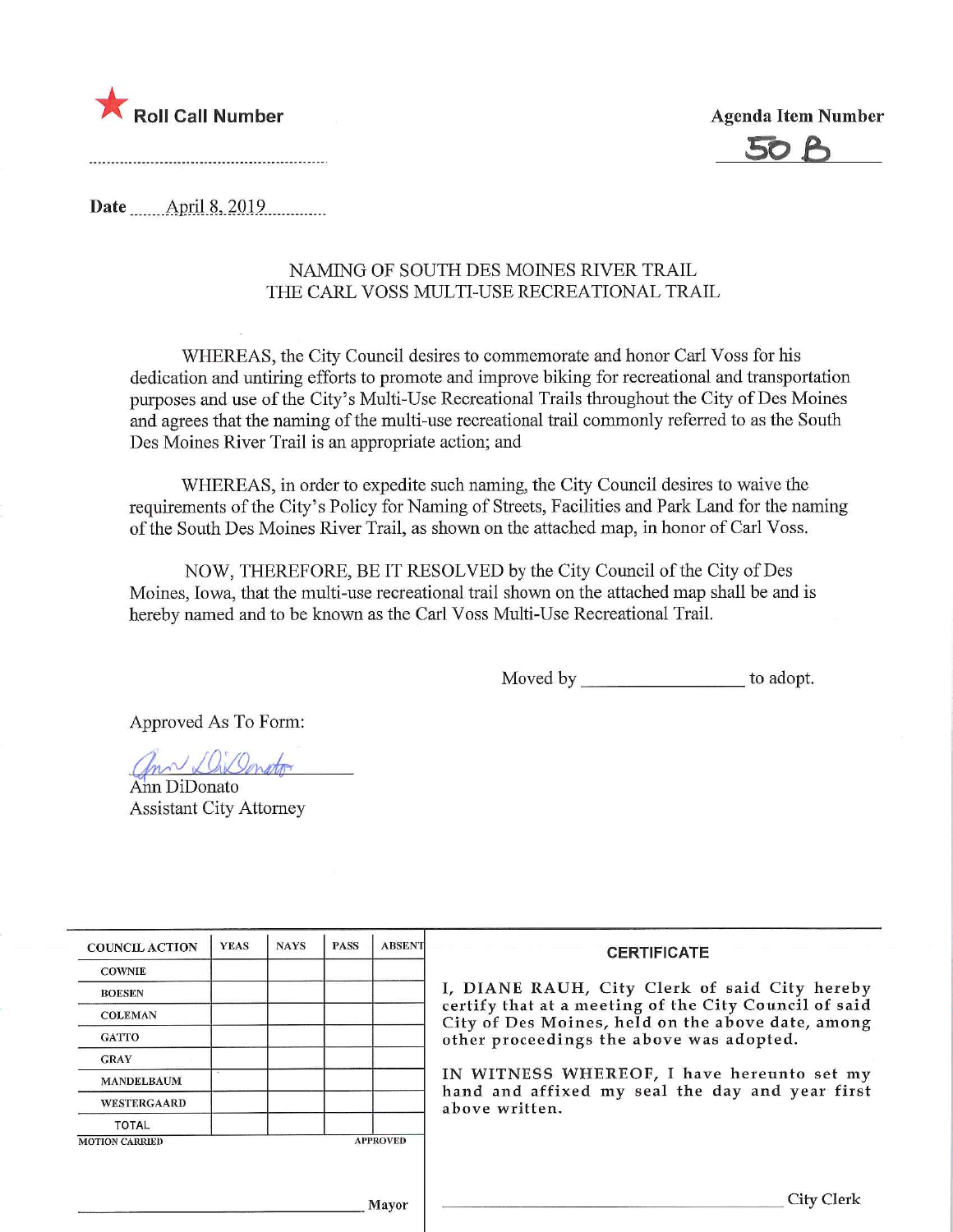



Date **April 8, 2019** 

## NAMING OF SOUTH DES MOINES RIVER TRAIL THE CARL VOSS MULTI-USE RECREATIONAL TRAIL

WHEREAS, the City Council desires to commemorate and honor Carl Voss for his dedication and untiring efforts to promote and improve hiking for recreational and transportation purposes and use of the City's Multi-Use Recreational Trails throughout the City of Des Moines and agrees that the naming of the multi-use recreational trail commonly referred to as the South Des Moines River Trail is an appropriate action; and

WHEREAS, in order to expedite such naming, the City Council desires to waive the requirements of the City's Policy for Naming of Streets, Facilities and Park Land for the naming of the South Des Moines River Trail, as shown on the attached map, in honor of Carl Voss.

NOW, THEREFORE, BE IT RESOLVED by the City Council of the City of Des Moines, Iowa, that the multi-use recreational trail shown on the attached map shall be and is hereby named and to be known as the Carl Voss Multi-Use Recreational Trail.

Moved by to adopt.

Approved As To Form:

Ann DiDonato

Assistant City Attorney

| <b>COUNCIL ACTION</b> | <b>YEAS</b> | <b>NAYS</b>                                                                                                | <b>PASS</b> | <b>ABSENT</b>   | <b>CERTIFICATE</b>                                                                            |  |
|-----------------------|-------------|------------------------------------------------------------------------------------------------------------|-------------|-----------------|-----------------------------------------------------------------------------------------------|--|
| <b>COWNIE</b>         |             |                                                                                                            |             |                 |                                                                                               |  |
| <b>BOESEN</b>         |             |                                                                                                            |             |                 | I, DIANE RAUH, City Clerk of said City hereby                                                 |  |
| <b>COLEMAN</b>        |             | certify that at a meeting of the City Council of said<br>City of Des Moines, held on the above date, among |             |                 |                                                                                               |  |
| <b>GATTO</b>          |             |                                                                                                            |             |                 | other proceedings the above was adopted.                                                      |  |
| <b>GRAY</b>           |             |                                                                                                            |             |                 |                                                                                               |  |
| <b>MANDELBAUM</b>     |             |                                                                                                            |             |                 | IN WITNESS WHEREOF, I have hereunto set my<br>hand and affixed my seal the day and year first |  |
| <b>WESTERGAARD</b>    |             |                                                                                                            |             |                 | above written.                                                                                |  |
| <b>TOTAL</b>          |             |                                                                                                            |             |                 |                                                                                               |  |
| <b>MOTION CARRIED</b> |             |                                                                                                            |             | <b>APPROVED</b> |                                                                                               |  |
|                       |             |                                                                                                            |             |                 |                                                                                               |  |
|                       |             |                                                                                                            |             |                 | City Clerk                                                                                    |  |